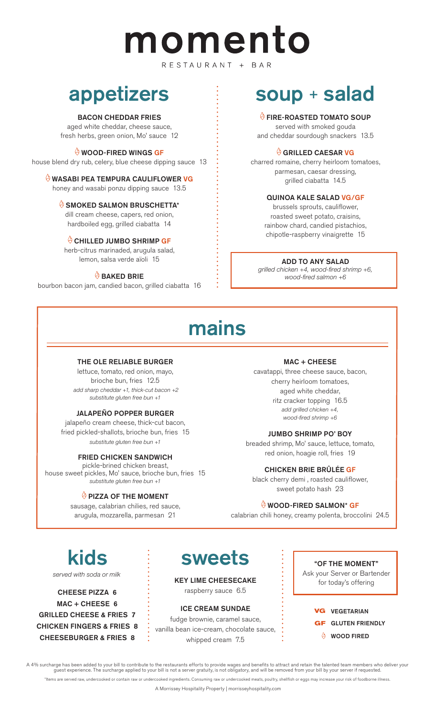# momento

RESTAURANT + BAR

## appetizers

#### BACON CHEDDAR FRIES

aged white cheddar, cheese sauce, fresh herbs, green onion, Mo' sauce 12

#### WOOD-FIRED WINGS GF

house blend dry rub, celery, blue cheese dipping sauce 13

#### WASABI PEA TEMPURA CAULIFLOWER VG honey and wasabi ponzu dipping sauce 13.5

#### $\overset{\triangle}{\otimes}$  SMOKED SALMON BRUSCHETTA\*

dill cream cheese, capers, red onion, hardboiled egg, grilled ciabatta 14

#### CHILLED JUMBO SHRIMP GF

herb-citrus marinaded, arugula salad, lemon, salsa verde aïoli 15

#### $\Theta$  BAKED BRIE

bourbon bacon jam, candied bacon, grilled ciabatta 16

## soup + salad

#### FIRE-ROASTED TOMATO SOUP

served with smoked gouda and cheddar sourdough snackers 13.5

#### GRILLED CAESAR VG

charred romaine, cherry heirloom tomatoes, parmesan, caesar dressing, grilled ciabatta 14.5

#### QUINOA KALE SALAD VG/GF

brussels sprouts, cauliflower, roasted sweet potato, craisins, rainbow chard, candied pistachios, chipotle-raspberry vinaigrette 15

#### ADD TO ANY SALAD

*grilled chicken +4, wood-fired shrimp +6, wood-fired salmon +6* 

## mains

#### THE OLE RELIABLE BURGER

lettuce, tomato, red onion, mayo, brioche bun, fries 12.5  *add sharp cheddar +1, thick-cut bacon +2 substitute gluten free bun +1*

#### JALAPEÑO POPPER BURGER

jalapeño cream cheese, thick-cut bacon, fried pickled-shallots, brioche bun, fries 15 *substitute gluten free bun +1*

#### FRIED CHICKEN SANDWICH

pickle-brined chicken breast, house sweet pickles, Mo' sauce, brioche bun, fries 15 *substitute gluten free bun +1*

#### $\Theta$  PIZZA OF THE MOMENT

sausage, calabrian chilies, red sauce, arugula, mozzarella, parmesan 21

#### MAC + CHEESE

cavatappi, three cheese sauce, bacon, cherry heirloom tomatoes, aged white cheddar, ritz cracker topping 16.5 *add grilled chicken +4, wood-fired shrimp +6*

#### JUMBO SHRIMP PO' BOY

breaded shrimp, Mo' sauce, lettuce, tomato, red onion, hoagie roll, fries 19

#### CHICKEN BRIE BRÛLÉE GF

black cherry demi , roasted cauliflower, sweet potato hash 23

#### WOOD-FIRED SALMON\* GF

calabrian chili honey, creamy polenta, broccolini 24.5

## kids

*served with soda or milk*

CHEESE PIZZA 6 MAC + CHEESE 6 GRILLED CHEESE & FRIES 7 CHICKEN FINGERS & FRIES 8 CHEESEBURGER & FRIES 8

## sweets

KEY LIME CHEESECAKE raspberry sauce 6.5

ICE CREAM SUNDAE

fudge brownie, caramel sauce, vanilla bean ice-cream, chocolate sauce, whipped cream 7.5

#### "OF THE MOMENT"

Ask your Server or Bartender for today's offering

#### **VG** VEGETARIAN

- **GF** GLUTEN FRIENDLY
	- **WOOD FIRED**

A 4% surcharge has been added to your bill to contribute to the restaurants efforts to provide wages and benefits to attract and retain the talented team members who deliver your guest experience. The surcharge applied to your bill is not a server gratuity, is not obligatory, and will be removed from your bill by your server if requested.

\*Items are served raw, undercooked or contain raw or undercooked ingredients. Consuming raw or undercooked meats, poultry, shellfish or eggs may increase your risk of foodborne illness.

A Morrissey Hospitality Property | morrisseyhospitality.com